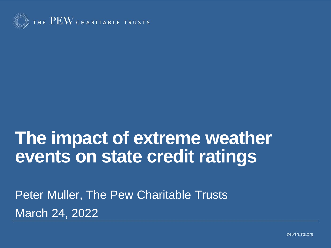

#### **The impact of extreme weather events on state credit ratings**

Peter Muller, The Pew Charitable Trusts March 24, 2022

pewtrusts.org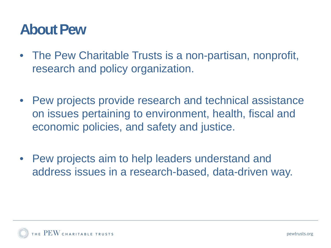#### **About Pew**

- The Pew Charitable Trusts is a non-partisan, nonprofit, research and policy organization.
- Pew projects provide research and technical assistance on issues pertaining to environment, health, fiscal and economic policies, and safety and justice.
- Pew projects aim to help leaders understand and address issues in a research-based, data-driven way.

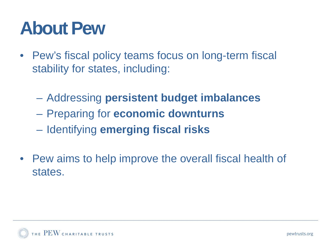### **About Pew**

- Pew's fiscal policy teams focus on long-term fiscal stability for states, including:
	- Addressing **persistent budget imbalances**
	- Preparing for **economic downturns**
	- Identifying **emerging fiscal risks**
- Pew aims to help improve the overall fiscal health of states.

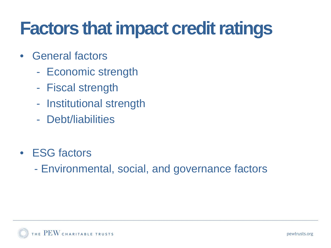### **Factors that impact credit ratings**

- General factors
	- Economic strength
	- Fiscal strength
	- Institutional strength
	- Debt/liabilities
- ESG factors
	- Environmental, social, and governance factors

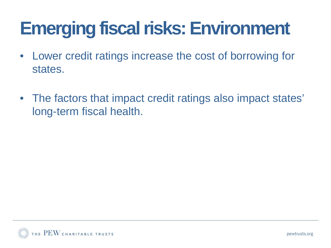# **Emerging fiscal risks: Environment**

- Lower credit ratings increase the cost of borrowing for states.
- The factors that impact credit ratings also impact states' long-term fiscal health.

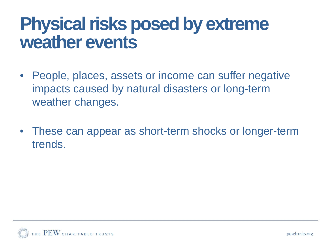### **Physical risks posed by extreme weather events**

- People, places, assets or income can suffer negative impacts caused by natural disasters or long-term weather changes.
- These can appear as short-term shocks or longer-term trends.

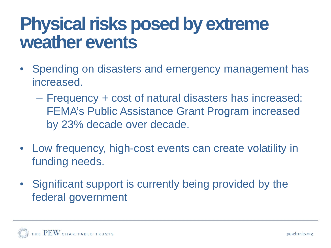### **Physical risks posed by extreme weather events**

- Spending on disasters and emergency management has increased.
	- Frequency + cost of natural disasters has increased: FEMA's Public Assistance Grant Program increased by 23% decade over decade.
- Low frequency, high-cost events can create volatility in funding needs.
- Significant support is currently being provided by the federal government.

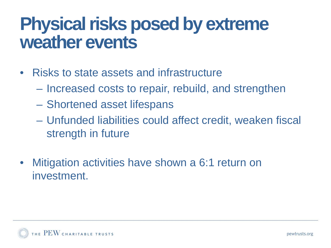### **Physical risks posed by extreme weather events**

- Risks to state assets and infrastructure
	- Increased costs to repair, rebuild, and strengthen
	- Shortened asset lifespans
	- Unfunded liabilities could affect credit, weaken fiscal strength in future
- Mitigation activities have shown a 6:1 return on investment.

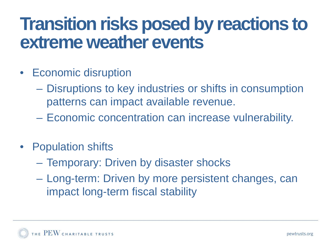### **Transition risks posed by reactions to extreme weather events**

- Economic disruption
	- Disruptions to key industries or shifts in consumption patterns can impact available revenue.
	- Economic concentration can increase vulnerability.
- Population shifts
	- Temporary: Driven by disaster shocks
	- Long-term: Driven by more persistent changes, can impact long-term fiscal stability

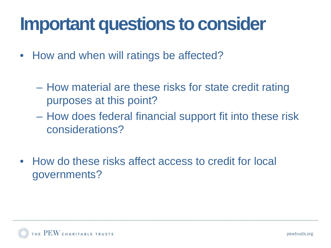### **Important questions to consider**

- How and when will ratings be affected?
	- How material are these risks for state credit rating purposes at this point?
	- How does federal financial support fit into these risk considerations?
- How do these risks affect access to credit for local governments?

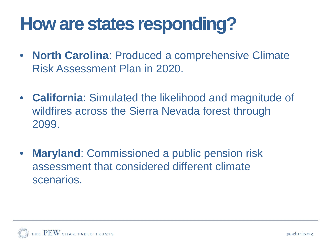# **How are states responding?**

- **North Carolina**: Produced a comprehensive Climate Risk Assessment Plan in 2020.
- **California**: Simulated the likelihood and magnitude of wildfires across the Sierra Nevada forest through 2099.
- **Maryland: Commissioned a public pension risk** assessment that considered different climate scenarios.

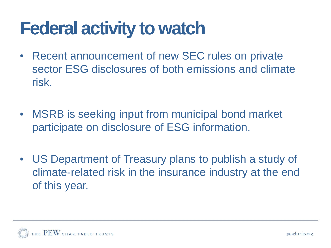### **Federal activity to watch**

- Recent announcement of new SEC rules on private sector ESG disclosures of both emissions and climate risk.
- MSRB is seeking input from municipal bond market participate on disclosure of ESG information.
- US Department of Treasury plans to publish a study of climate-related risk in the insurance industry at the end of this year.

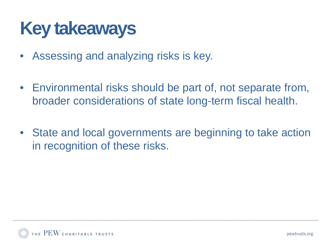### **Key takeaways**

- Assessing and analyzing risks is key.
- Environmental risks should be part of, not separate from, broader considerations of state long-term fiscal health.
- State and local governments are beginning to take action in recognition of these risks.